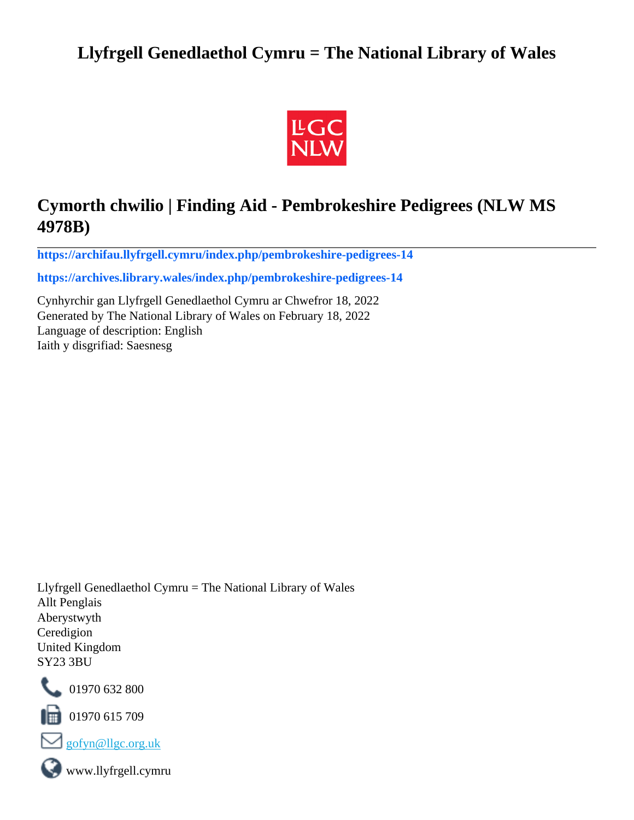# **Llyfrgell Genedlaethol Cymru = The National Library of Wales**



# **Cymorth chwilio | Finding Aid - Pembrokeshire Pedigrees (NLW MS 4978B)**

**[https://archifau.llyfrgell.cymru/index.php/pembrokeshire-pedigrees-14](https://archifau.llyfrgell.cymru/index.php/pembrokeshire-pedigrees-14;isad?sf_culture=cy)**

**[https://archives.library.wales/index.php/pembrokeshire-pedigrees-14](https://archives.library.wales/index.php/pembrokeshire-pedigrees-14;isad?sf_culture=en)**

Cynhyrchir gan Llyfrgell Genedlaethol Cymru ar Chwefror 18, 2022 Generated by The National Library of Wales on February 18, 2022 Language of description: English Iaith y disgrifiad: Saesnesg

Llyfrgell Genedlaethol Cymru = The National Library of Wales Allt Penglais Aberystwyth Ceredigion United Kingdom SY23 3BU



101970 632 800

 $\blacksquare$  01970 615 709



www.llyfrgell.cymru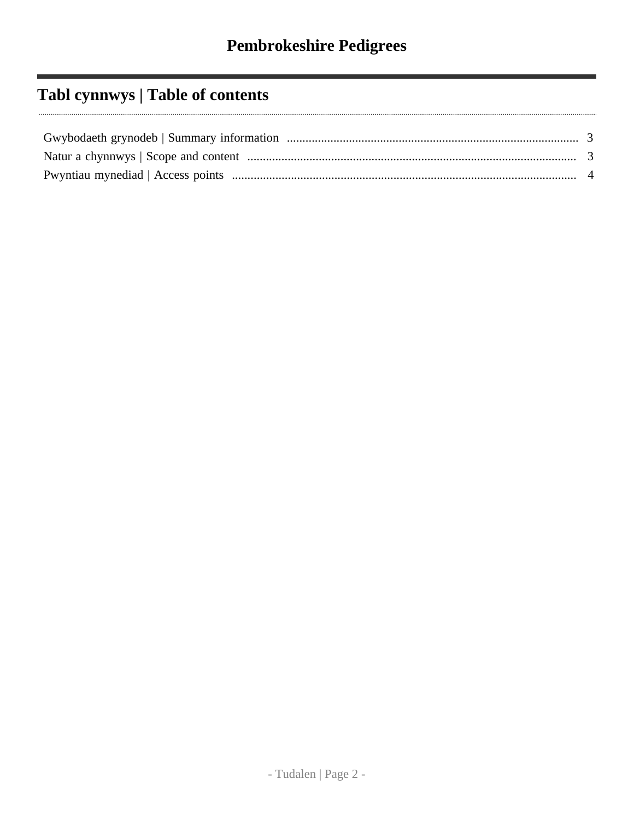# **Tabl cynnwys | Table of contents**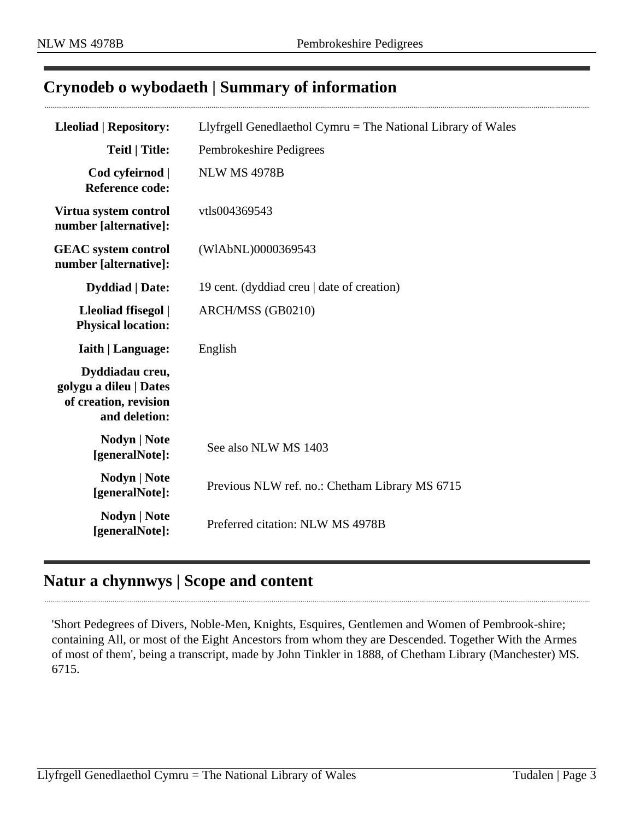## <span id="page-2-0"></span>**Crynodeb o wybodaeth | Summary of information**

| <b>Lleoliad   Repository:</b>                                                       | Llyfrgell Genedlaethol Cymru = The National Library of Wales |
|-------------------------------------------------------------------------------------|--------------------------------------------------------------|
| <b>Teitl   Title:</b>                                                               | Pembrokeshire Pedigrees                                      |
| Cod cyfeirnod  <br><b>Reference code:</b>                                           | <b>NLW MS 4978B</b>                                          |
| Virtua system control<br>number [alternative]:                                      | vtls004369543                                                |
| <b>GEAC</b> system control<br>number [alternative]:                                 | (WIAbNL)0000369543                                           |
| <b>Dyddiad</b>   Date:                                                              | 19 cent. (dyddiad creu   date of creation)                   |
| Lleoliad ffisegol  <br><b>Physical location:</b>                                    | ARCH/MSS (GB0210)                                            |
| <b>Iaith   Language:</b>                                                            | English                                                      |
| Dyddiadau creu,<br>golygu a dileu   Dates<br>of creation, revision<br>and deletion: |                                                              |
| <b>Nodyn</b>   <b>Note</b><br>[generalNote]:                                        | See also NLW MS 1403                                         |
| <b>Nodyn</b>   <b>Note</b><br>[generalNote]:                                        | Previous NLW ref. no.: Chetham Library MS 6715               |
| Nodyn   Note<br>[generalNote]:                                                      | Preferred citation: NLW MS 4978B                             |

#### <span id="page-2-1"></span>**Natur a chynnwys | Scope and content**

'Short Pedegrees of Divers, Noble-Men, Knights, Esquires, Gentlemen and Women of Pembrook-shire; containing All, or most of the Eight Ancestors from whom they are Descended. Together With the Armes of most of them', being a transcript, made by John Tinkler in 1888, of Chetham Library (Manchester) MS. 6715.